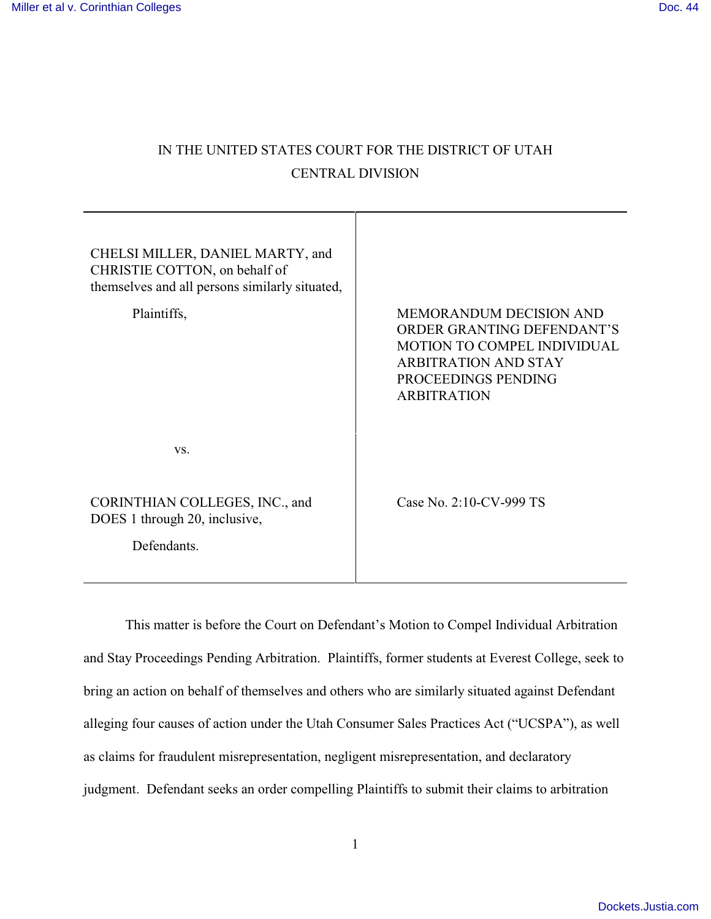# IN THE UNITED STATES COURT FOR THE DISTRICT OF UTAH CENTRAL DIVISION

| CHELSI MILLER, DANIEL MARTY, and<br>CHRISTIE COTTON, on behalf of<br>themselves and all persons similarly situated,<br>Plaintiffs, | <b>MEMORANDUM DECISION AND</b><br>ORDER GRANTING DEFENDANT'S<br><b>MOTION TO COMPEL INDIVIDUAL</b><br><b>ARBITRATION AND STAY</b><br>PROCEEDINGS PENDING<br><b>ARBITRATION</b> |
|------------------------------------------------------------------------------------------------------------------------------------|--------------------------------------------------------------------------------------------------------------------------------------------------------------------------------|
| VS.                                                                                                                                |                                                                                                                                                                                |
| CORINTHIAN COLLEGES, INC., and<br>DOES 1 through 20, inclusive,<br>Defendants.                                                     | Case No. 2:10-CV-999 TS                                                                                                                                                        |
|                                                                                                                                    |                                                                                                                                                                                |

This matter is before the Court on Defendant's Motion to Compel Individual Arbitration and Stay Proceedings Pending Arbitration. Plaintiffs, former students at Everest College, seek to bring an action on behalf of themselves and others who are similarly situated against Defendant alleging four causes of action under the Utah Consumer Sales Practices Act ("UCSPA"), as well as claims for fraudulent misrepresentation, negligent misrepresentation, and declaratory judgment. Defendant seeks an order compelling Plaintiffs to submit their claims to arbitration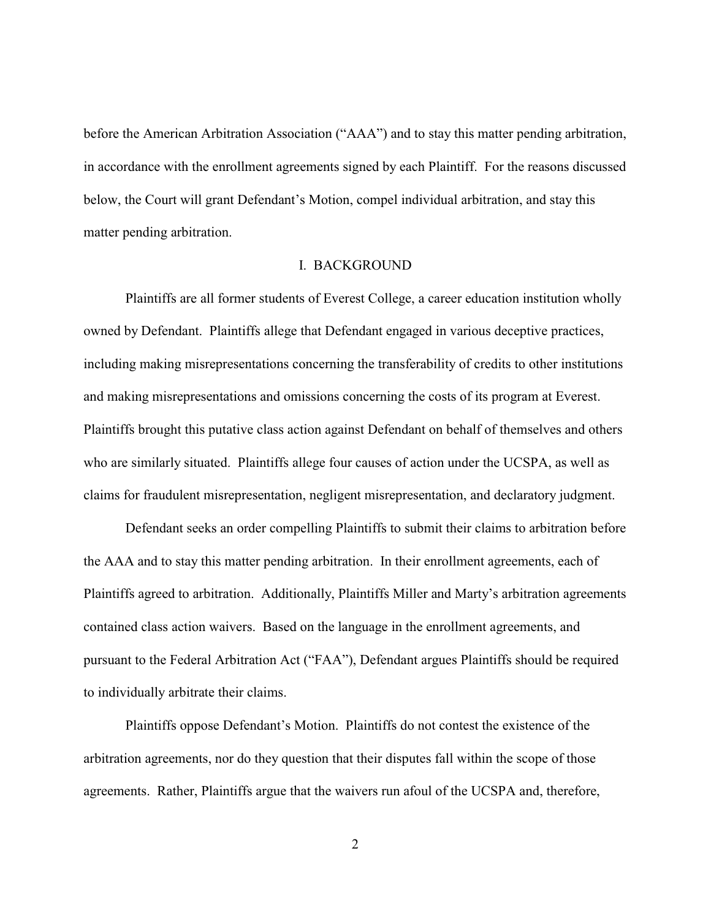before the American Arbitration Association ("AAA") and to stay this matter pending arbitration, in accordance with the enrollment agreements signed by each Plaintiff. For the reasons discussed below, the Court will grant Defendant's Motion, compel individual arbitration, and stay this matter pending arbitration.

#### I. BACKGROUND

Plaintiffs are all former students of Everest College, a career education institution wholly owned by Defendant. Plaintiffs allege that Defendant engaged in various deceptive practices, including making misrepresentations concerning the transferability of credits to other institutions and making misrepresentations and omissions concerning the costs of its program at Everest. Plaintiffs brought this putative class action against Defendant on behalf of themselves and others who are similarly situated. Plaintiffs allege four causes of action under the UCSPA, as well as claims for fraudulent misrepresentation, negligent misrepresentation, and declaratory judgment.

Defendant seeks an order compelling Plaintiffs to submit their claims to arbitration before the AAA and to stay this matter pending arbitration. In their enrollment agreements, each of Plaintiffs agreed to arbitration. Additionally, Plaintiffs Miller and Marty's arbitration agreements contained class action waivers. Based on the language in the enrollment agreements, and pursuant to the Federal Arbitration Act ("FAA"), Defendant argues Plaintiffs should be required to individually arbitrate their claims.

Plaintiffs oppose Defendant's Motion. Plaintiffs do not contest the existence of the arbitration agreements, nor do they question that their disputes fall within the scope of those agreements. Rather, Plaintiffs argue that the waivers run afoul of the UCSPA and, therefore,

2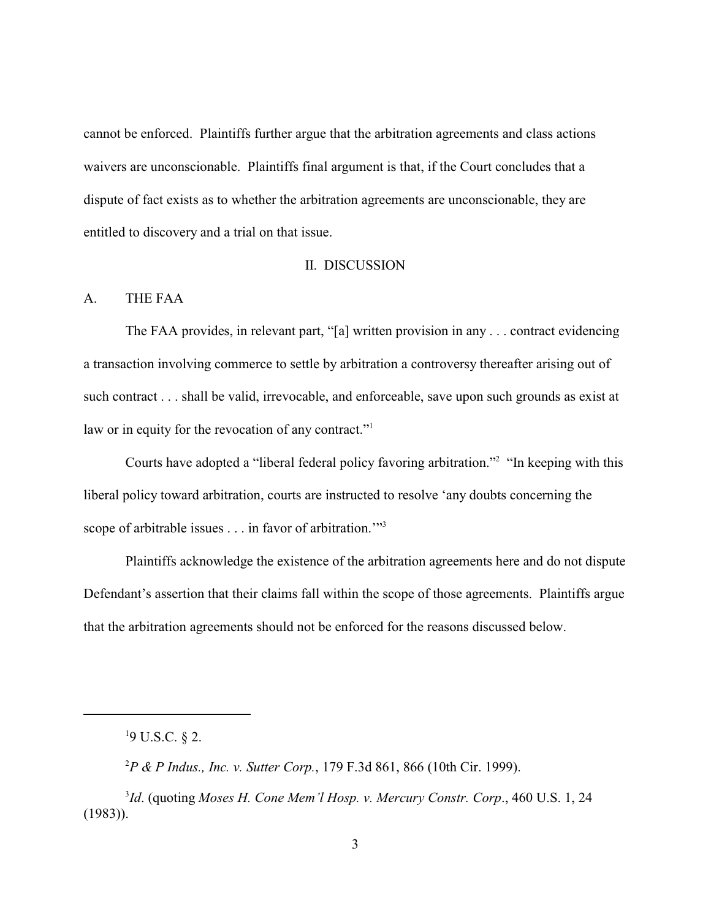cannot be enforced. Plaintiffs further argue that the arbitration agreements and class actions waivers are unconscionable. Plaintiffs final argument is that, if the Court concludes that a dispute of fact exists as to whether the arbitration agreements are unconscionable, they are entitled to discovery and a trial on that issue.

### II. DISCUSSION

#### A. THE FAA

The FAA provides, in relevant part, "[a] written provision in any . . . contract evidencing a transaction involving commerce to settle by arbitration a controversy thereafter arising out of such contract . . . shall be valid, irrevocable, and enforceable, save upon such grounds as exist at law or in equity for the revocation of any contract."<sup>1</sup>

Courts have adopted a "liberal federal policy favoring arbitration."<sup>2</sup> "In keeping with this liberal policy toward arbitration, courts are instructed to resolve 'any doubts concerning the scope of arbitrable issues  $\dots$  in favor of arbitration."<sup>3</sup>

Plaintiffs acknowledge the existence of the arbitration agreements here and do not dispute Defendant's assertion that their claims fall within the scope of those agreements. Plaintiffs argue that the arbitration agreements should not be enforced for the reasons discussed below.

 $19$  U.S.C. § 2.

*P & P Indus., Inc. v. Sutter Corp.*, 179 F.3d 861, 866 (10th Cir. 1999). <sup>2</sup>

<sup>&</sup>lt;sup>3</sup>Id. (quoting *Moses H. Cone Mem'l Hosp. v. Mercury Constr. Corp.*, 460 U.S. 1, 24 (1983)).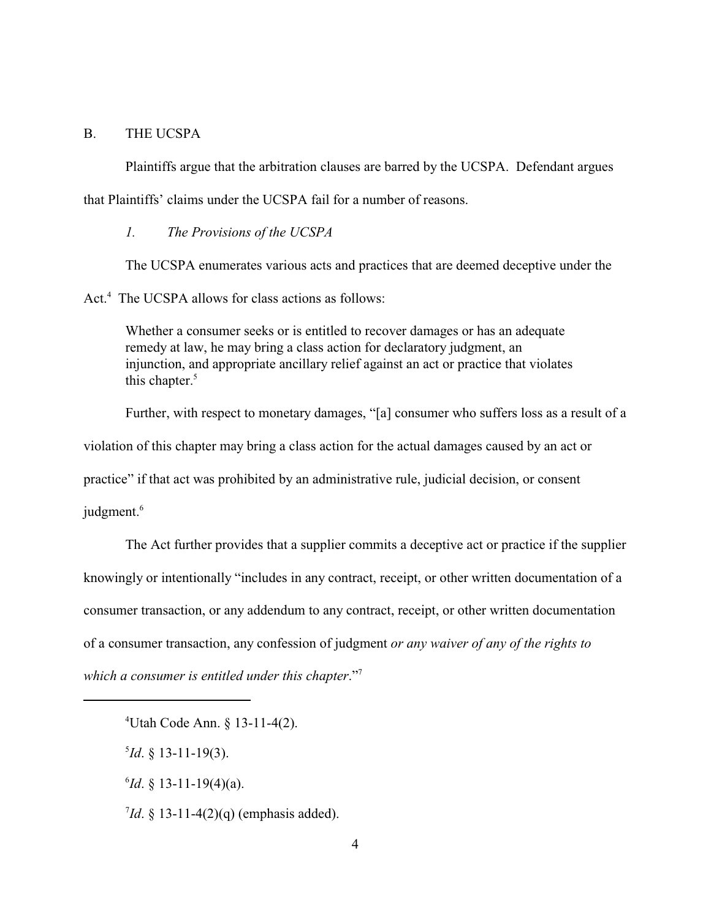## B. THE UCSPA

Plaintiffs argue that the arbitration clauses are barred by the UCSPA. Defendant argues that Plaintiffs' claims under the UCSPA fail for a number of reasons.

*1. The Provisions of the UCSPA*

The UCSPA enumerates various acts and practices that are deemed deceptive under the

Act.<sup>4</sup> The UCSPA allows for class actions as follows:

Whether a consumer seeks or is entitled to recover damages or has an adequate remedy at law, he may bring a class action for declaratory judgment, an injunction, and appropriate ancillary relief against an act or practice that violates this chapter.<sup>5</sup>

Further, with respect to monetary damages, "[a] consumer who suffers loss as a result of a violation of this chapter may bring a class action for the actual damages caused by an act or practice" if that act was prohibited by an administrative rule, judicial decision, or consent judgment.<sup>6</sup>

The Act further provides that a supplier commits a deceptive act or practice if the supplier knowingly or intentionally "includes in any contract, receipt, or other written documentation of a consumer transaction, or any addendum to any contract, receipt, or other written documentation of a consumer transaction, any confession of judgment *or any waiver of any of the rights to which a consumer is entitled under this chapter*."<sup>7</sup>

Utah Code Ann. § 13-11-4(2). 4

 $^{5}Id. \S$  13-11-19(3).

 $^{6}$ *Id*. § 13-11-19(4)(a).

 $^{7}$ *Id*. § 13-11-4(2)(q) (emphasis added).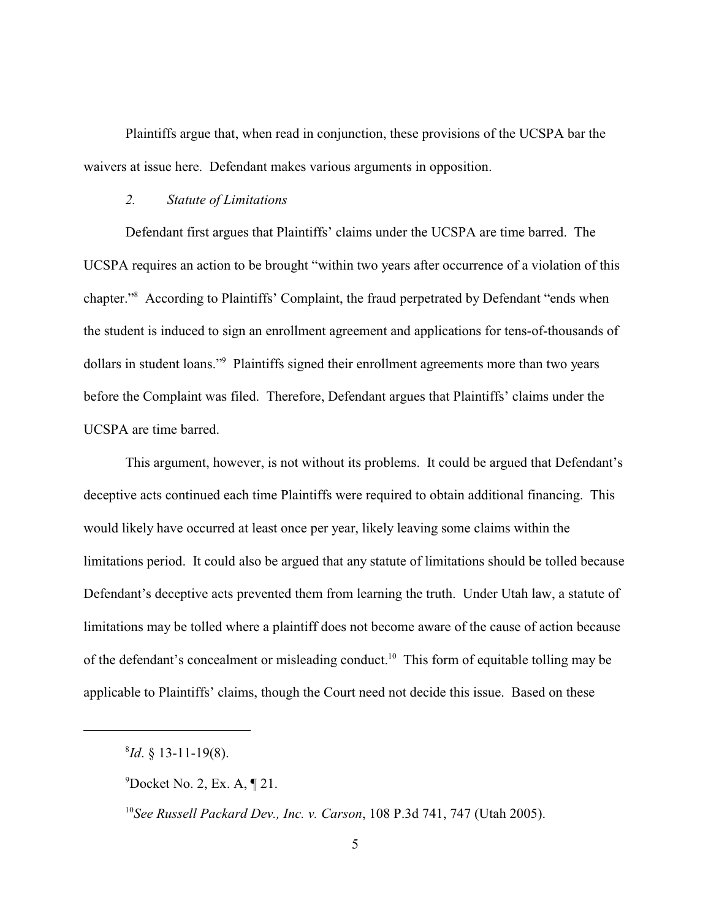Plaintiffs argue that, when read in conjunction, these provisions of the UCSPA bar the waivers at issue here. Defendant makes various arguments in opposition.

### *2. Statute of Limitations*

Defendant first argues that Plaintiffs' claims under the UCSPA are time barred. The UCSPA requires an action to be brought "within two years after occurrence of a violation of this chapter."<sup>8</sup> According to Plaintiffs' Complaint, the fraud perpetrated by Defendant "ends when the student is induced to sign an enrollment agreement and applications for tens-of-thousands of dollars in student loans."<sup>9</sup> Plaintiffs signed their enrollment agreements more than two years before the Complaint was filed. Therefore, Defendant argues that Plaintiffs' claims under the UCSPA are time barred.

This argument, however, is not without its problems. It could be argued that Defendant's deceptive acts continued each time Plaintiffs were required to obtain additional financing. This would likely have occurred at least once per year, likely leaving some claims within the limitations period. It could also be argued that any statute of limitations should be tolled because Defendant's deceptive acts prevented them from learning the truth. Under Utah law, a statute of limitations may be tolled where a plaintiff does not become aware of the cause of action because of the defendant's concealment or misleading conduct.<sup>10</sup> This form of equitable tolling may be applicable to Plaintiffs' claims, though the Court need not decide this issue. Based on these

 $^{8}Id. \S$  13-11-19(8).

 $^9$ Docket No. 2, Ex. A, ¶ 21.

<sup>&</sup>lt;sup>10</sup> See Russell Packard Dev., Inc. v. Carson, 108 P.3d 741, 747 (Utah 2005).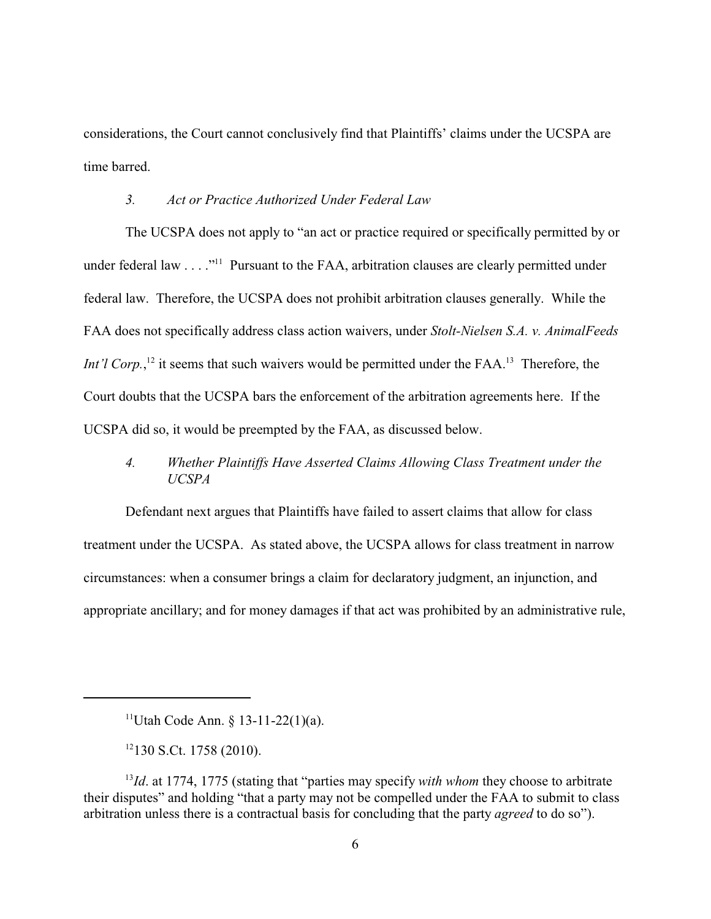considerations, the Court cannot conclusively find that Plaintiffs' claims under the UCSPA are time barred.

# *3. Act or Practice Authorized Under Federal Law*

The UCSPA does not apply to "an act or practice required or specifically permitted by or under federal law  $\dots$  ."<sup>11</sup> Pursuant to the FAA, arbitration clauses are clearly permitted under federal law. Therefore, the UCSPA does not prohibit arbitration clauses generally. While the FAA does not specifically address class action waivers, under *Stolt-Nielsen S.A. v. AnimalFeeds Int'l Corp.*,<sup>12</sup> it seems that such waivers would be permitted under the FAA.<sup>13</sup> Therefore, the Court doubts that the UCSPA bars the enforcement of the arbitration agreements here. If the UCSPA did so, it would be preempted by the FAA, as discussed below.

*4. Whether Plaintiffs Have Asserted Claims Allowing Class Treatment under the UCSPA*

Defendant next argues that Plaintiffs have failed to assert claims that allow for class treatment under the UCSPA. As stated above, the UCSPA allows for class treatment in narrow circumstances: when a consumer brings a claim for declaratory judgment, an injunction, and appropriate ancillary; and for money damages if that act was prohibited by an administrative rule,

 $11$ Utah Code Ann. § 13-11-22(1)(a).

 $12130$  S.Ct. 1758 (2010).

<sup>&</sup>lt;sup>13</sup>*Id*. at 1774, 1775 (stating that "parties may specify *with whom* they choose to arbitrate their disputes" and holding "that a party may not be compelled under the FAA to submit to class arbitration unless there is a contractual basis for concluding that the party *agreed* to do so").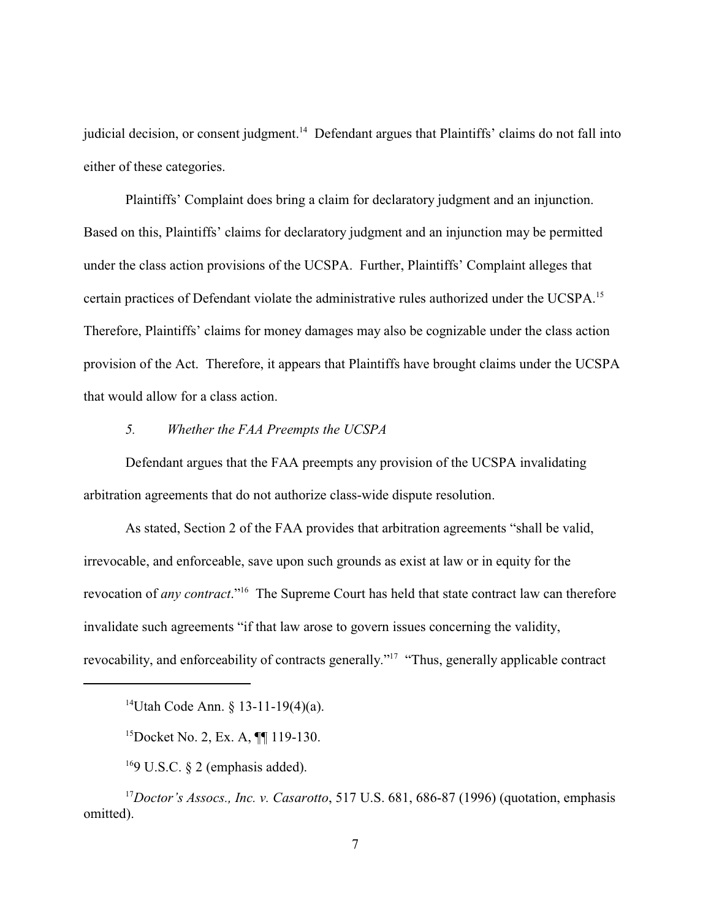judicial decision, or consent judgment.<sup>14</sup> Defendant argues that Plaintiffs' claims do not fall into either of these categories.

Plaintiffs' Complaint does bring a claim for declaratory judgment and an injunction. Based on this, Plaintiffs' claims for declaratory judgment and an injunction may be permitted under the class action provisions of the UCSPA. Further, Plaintiffs' Complaint alleges that certain practices of Defendant violate the administrative rules authorized under the UCSPA.<sup>15</sup> Therefore, Plaintiffs' claims for money damages may also be cognizable under the class action provision of the Act. Therefore, it appears that Plaintiffs have brought claims under the UCSPA that would allow for a class action.

### *5. Whether the FAA Preempts the UCSPA*

Defendant argues that the FAA preempts any provision of the UCSPA invalidating arbitration agreements that do not authorize class-wide dispute resolution.

As stated, Section 2 of the FAA provides that arbitration agreements "shall be valid, irrevocable, and enforceable, save upon such grounds as exist at law or in equity for the revocation of *any contract*."<sup>16</sup> The Supreme Court has held that state contract law can therefore invalidate such agreements "if that law arose to govern issues concerning the validity, revocability, and enforceability of contracts generally."<sup>17</sup> "Thus, generally applicable contract

<sup>&</sup>lt;sup>14</sup>Utah Code Ann. § 13-11-19(4)(a).

<sup>&</sup>lt;sup>15</sup>Docket No. 2, Ex. A,  $\P\P$  119-130.

<sup>&</sup>lt;sup>16</sup>9 U.S.C. § 2 (emphasis added).

<sup>&</sup>lt;sup>17</sup>Doctor's Assocs., Inc. v. Casarotto, 517 U.S. 681, 686-87 (1996) (quotation, emphasis omitted).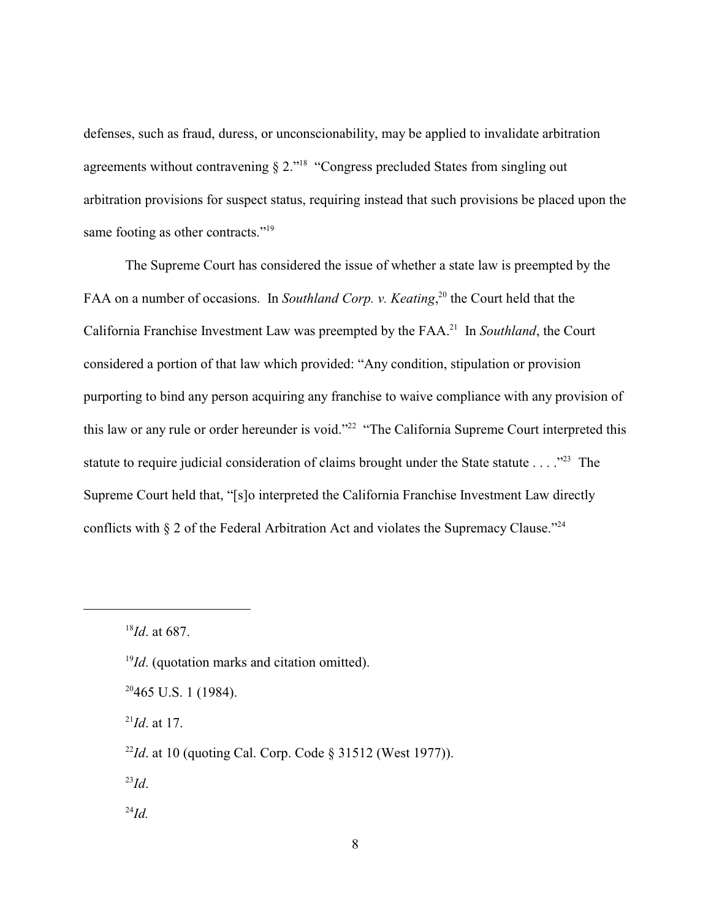defenses, such as fraud, duress, or unconscionability, may be applied to invalidate arbitration agreements without contravening  $\S 2$ ."<sup>18</sup> "Congress precluded States from singling out arbitration provisions for suspect status, requiring instead that such provisions be placed upon the same footing as other contracts."<sup>19</sup>

The Supreme Court has considered the issue of whether a state law is preempted by the FAA on a number of occasions. In *Southland Corp. v. Keating*<sup>20</sup>, the Court held that the California Franchise Investment Law was preempted by the FAA.<sup>21</sup> In *Southland*, the Court considered a portion of that law which provided: "Any condition, stipulation or provision purporting to bind any person acquiring any franchise to waive compliance with any provision of this law or any rule or order hereunder is void."<sup>22</sup> "The California Supreme Court interpreted this statute to require judicial consideration of claims brought under the State statute  $\ldots$ ."<sup>23</sup> The Supreme Court held that, "[s]o interpreted the California Franchise Investment Law directly conflicts with § 2 of the Federal Arbitration Act and violates the Supremacy Clause."<sup>24</sup>

 $^{21}Id$ . at 17.

 $^{23}Id.$ 

 $^{24}Id$ .

 $^{18}Id$ . at 687.

 $I<sup>9</sup>Id$ . (quotation marks and citation omitted).

 $20465$  U.S. 1 (1984).

 $\frac{22}{d}$ . at 10 (quoting Cal. Corp. Code § 31512 (West 1977)).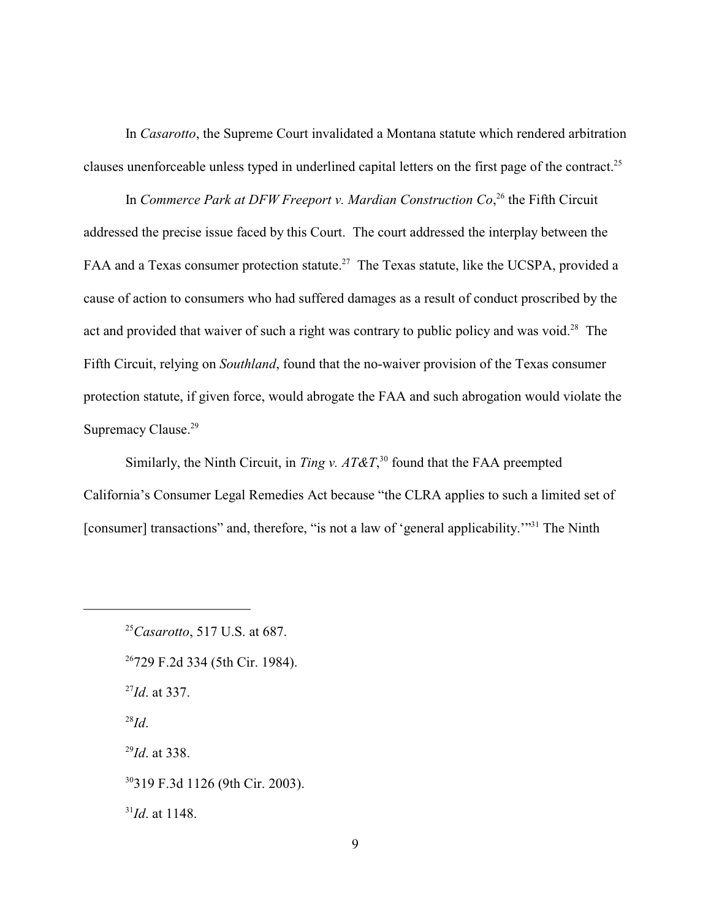In *Casarotto*, the Supreme Court invalidated a Montana statute which rendered arbitration clauses unenforceable unless typed in underlined capital letters on the first page of the contract.<sup>25</sup>

In *Commerce Park at DFW Freeport v. Mardian Construction Co*,<sup>26</sup> the Fifth Circuit addressed the precise issue faced by this Court. The court addressed the interplay between the FAA and a Texas consumer protection statute.<sup>27</sup> The Texas statute, like the UCSPA, provided a cause of action to consumers who had suffered damages as a result of conduct proscribed by the act and provided that waiver of such a right was contrary to public policy and was void.<sup>28</sup> The Fifth Circuit, relying on *Southland*, found that the no-waiver provision of the Texas consumer protection statute, if given force, would abrogate the FAA and such abrogation would violate the Supremacy Clause.<sup>29</sup>

Similarly, the Ninth Circuit, in *Ting v. AT&T*,<sup>30</sup> found that the FAA preempted California's Consumer Legal Remedies Act because "the CLRA applies to such a limited set of [consumer] transactions" and, therefore, "is not a law of 'general applicability."<sup>31</sup> The Ninth

<sup>26</sup>729 F.2d 334 (5th Cir. 1984).  $^{27}Id$ . at 337. *Id*. 28  $^{29}$ *Id.* at 338. 319 F.3d 1126 (9th Cir. 2003). <sup>30</sup>  $^{31}$ *Id.* at 1148.

<sup>&</sup>lt;sup>25</sup>Casarotto, 517 U.S. at 687.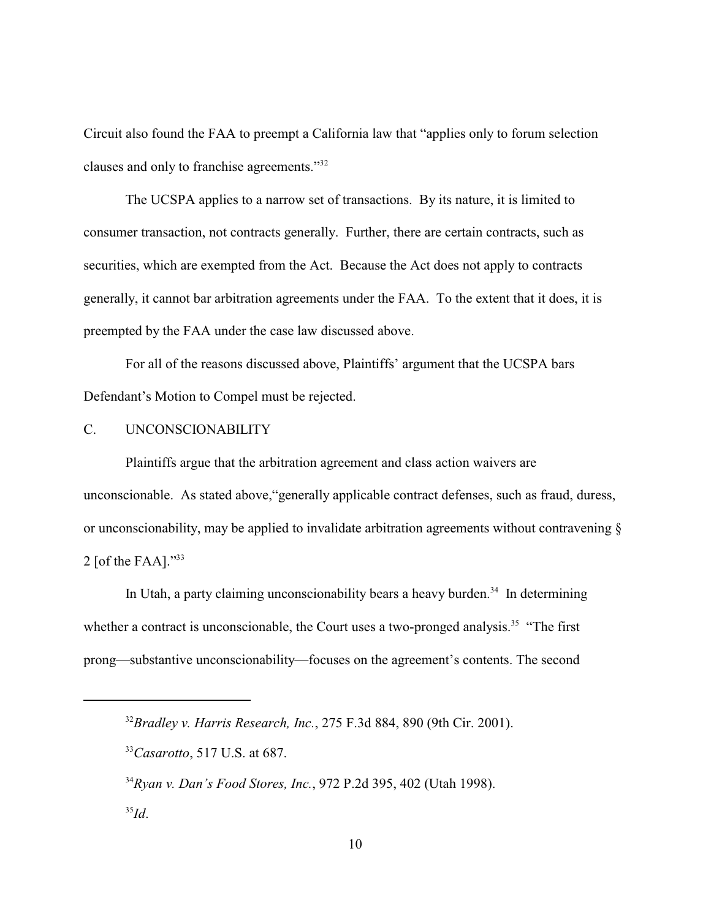Circuit also found the FAA to preempt a California law that "applies only to forum selection clauses and only to franchise agreements."<sup>32</sup>

The UCSPA applies to a narrow set of transactions. By its nature, it is limited to consumer transaction, not contracts generally. Further, there are certain contracts, such as securities, which are exempted from the Act. Because the Act does not apply to contracts generally, it cannot bar arbitration agreements under the FAA. To the extent that it does, it is preempted by the FAA under the case law discussed above.

For all of the reasons discussed above, Plaintiffs' argument that the UCSPA bars Defendant's Motion to Compel must be rejected.

# C. UNCONSCIONABILITY

Plaintiffs argue that the arbitration agreement and class action waivers are unconscionable. As stated above,"generally applicable contract defenses, such as fraud, duress, or unconscionability, may be applied to invalidate arbitration agreements without contravening § 2 [of the FAA]." $33$ 

In Utah, a party claiming unconscionability bears a heavy burden.<sup>34</sup> In determining whether a contract is unconscionable, the Court uses a two-pronged analysis.<sup>35</sup> "The first prong—substantive unconscionability—focuses on the agreement's contents. The second

<sup>&</sup>lt;sup>32</sup> Bradley v. Harris Research, Inc., 275 F.3d 884, 890 (9th Cir. 2001).

<sup>&</sup>lt;sup>33</sup>*Casarotto*, 517 U.S. at 687.

*Ryan v. Dan's Food Stores, Inc.*, 972 P.2d 395, 402 (Utah 1998). <sup>34</sup> <sup>35</sup>*Id*.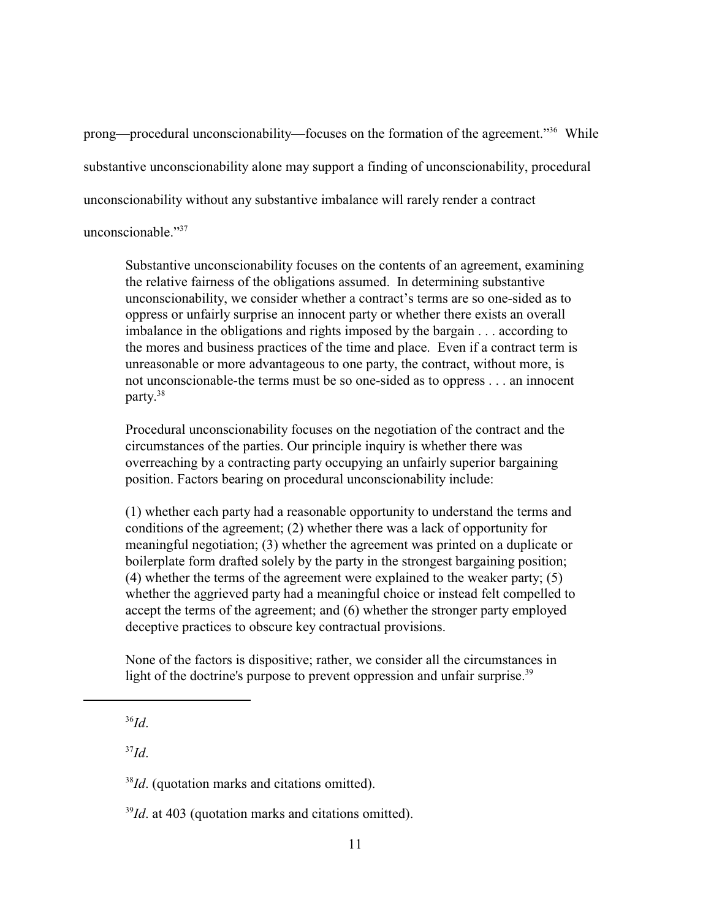prong—procedural unconscionability—focuses on the formation of the agreement."<sup>36</sup> While substantive unconscionability alone may support a finding of unconscionability, procedural unconscionability without any substantive imbalance will rarely render a contract unconscionable $^{337}$ 

Substantive unconscionability focuses on the contents of an agreement, examining the relative fairness of the obligations assumed. In determining substantive unconscionability, we consider whether a contract's terms are so one-sided as to oppress or unfairly surprise an innocent party or whether there exists an overall imbalance in the obligations and rights imposed by the bargain . . . according to the mores and business practices of the time and place. Even if a contract term is unreasonable or more advantageous to one party, the contract, without more, is not unconscionable-the terms must be so one-sided as to oppress . . . an innocent party. 38

Procedural unconscionability focuses on the negotiation of the contract and the circumstances of the parties. Our principle inquiry is whether there was overreaching by a contracting party occupying an unfairly superior bargaining position. Factors bearing on procedural unconscionability include:

(1) whether each party had a reasonable opportunity to understand the terms and conditions of the agreement; (2) whether there was a lack of opportunity for meaningful negotiation; (3) whether the agreement was printed on a duplicate or boilerplate form drafted solely by the party in the strongest bargaining position; (4) whether the terms of the agreement were explained to the weaker party; (5) whether the aggrieved party had a meaningful choice or instead felt compelled to accept the terms of the agreement; and (6) whether the stronger party employed deceptive practices to obscure key contractual provisions.

None of the factors is dispositive; rather, we consider all the circumstances in light of the doctrine's purpose to prevent oppression and unfair surprise.<sup>39</sup>

*Id*. 36

 $J^3Id$ .

<sup>&</sup>lt;sup>38</sup>*Id*. (quotation marks and citations omitted).

 $I<sup>39</sup>Id$ , at 403 (quotation marks and citations omitted).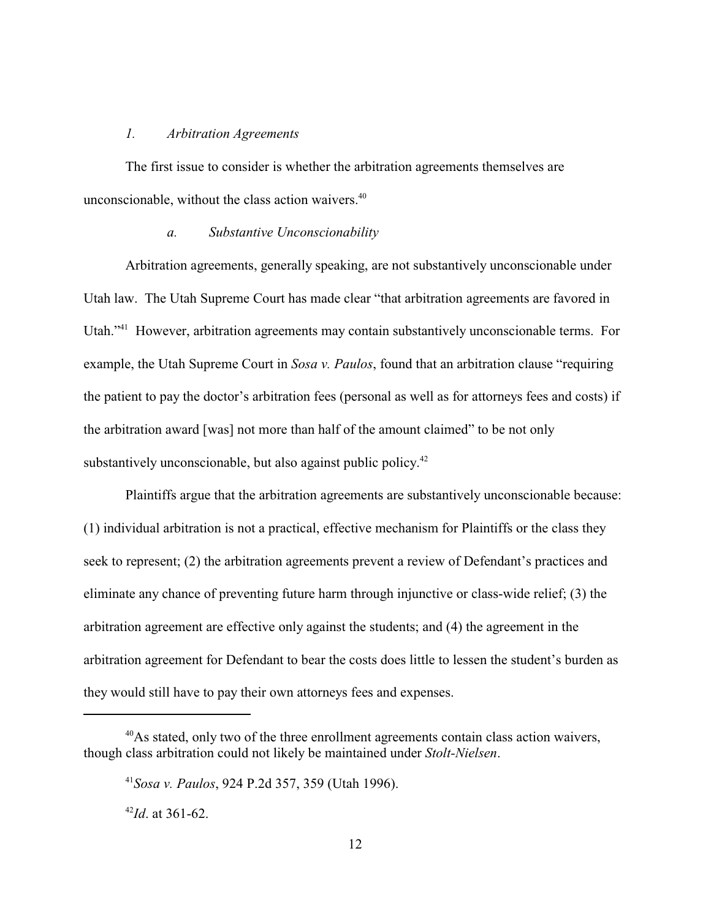### *1. Arbitration Agreements*

The first issue to consider is whether the arbitration agreements themselves are unconscionable, without the class action waivers.<sup>40</sup>

### *a. Substantive Unconscionability*

Arbitration agreements, generally speaking, are not substantively unconscionable under Utah law. The Utah Supreme Court has made clear "that arbitration agreements are favored in Utah."<sup>41</sup> However, arbitration agreements may contain substantively unconscionable terms. For example, the Utah Supreme Court in *Sosa v. Paulos*, found that an arbitration clause "requiring the patient to pay the doctor's arbitration fees (personal as well as for attorneys fees and costs) if the arbitration award [was] not more than half of the amount claimed" to be not only substantively unconscionable, but also against public policy.<sup>42</sup>

Plaintiffs argue that the arbitration agreements are substantively unconscionable because: (1) individual arbitration is not a practical, effective mechanism for Plaintiffs or the class they seek to represent; (2) the arbitration agreements prevent a review of Defendant's practices and eliminate any chance of preventing future harm through injunctive or class-wide relief; (3) the arbitration agreement are effective only against the students; and (4) the agreement in the arbitration agreement for Defendant to bear the costs does little to lessen the student's burden as they would still have to pay their own attorneys fees and expenses.

 $40$ As stated, only two of the three enrollment agreements contain class action waivers, though class arbitration could not likely be maintained under *Stolt-Nielsen*.

*Sosa v. Paulos*, 924 P.2d 357, 359 (Utah 1996). <sup>41</sup>

 $^{42}$ *Id*. at 361-62.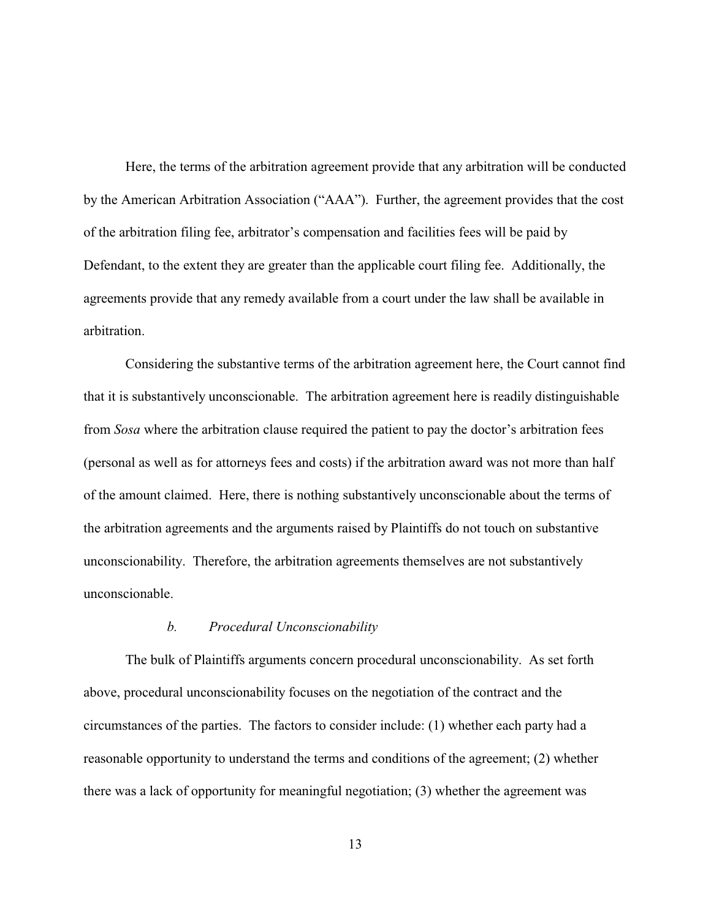Here, the terms of the arbitration agreement provide that any arbitration will be conducted by the American Arbitration Association ("AAA"). Further, the agreement provides that the cost of the arbitration filing fee, arbitrator's compensation and facilities fees will be paid by Defendant, to the extent they are greater than the applicable court filing fee. Additionally, the agreements provide that any remedy available from a court under the law shall be available in arbitration.

Considering the substantive terms of the arbitration agreement here, the Court cannot find that it is substantively unconscionable. The arbitration agreement here is readily distinguishable from *Sosa* where the arbitration clause required the patient to pay the doctor's arbitration fees (personal as well as for attorneys fees and costs) if the arbitration award was not more than half of the amount claimed. Here, there is nothing substantively unconscionable about the terms of the arbitration agreements and the arguments raised by Plaintiffs do not touch on substantive unconscionability. Therefore, the arbitration agreements themselves are not substantively unconscionable.

### *b. Procedural Unconscionability*

The bulk of Plaintiffs arguments concern procedural unconscionability. As set forth above, procedural unconscionability focuses on the negotiation of the contract and the circumstances of the parties. The factors to consider include: (1) whether each party had a reasonable opportunity to understand the terms and conditions of the agreement; (2) whether there was a lack of opportunity for meaningful negotiation; (3) whether the agreement was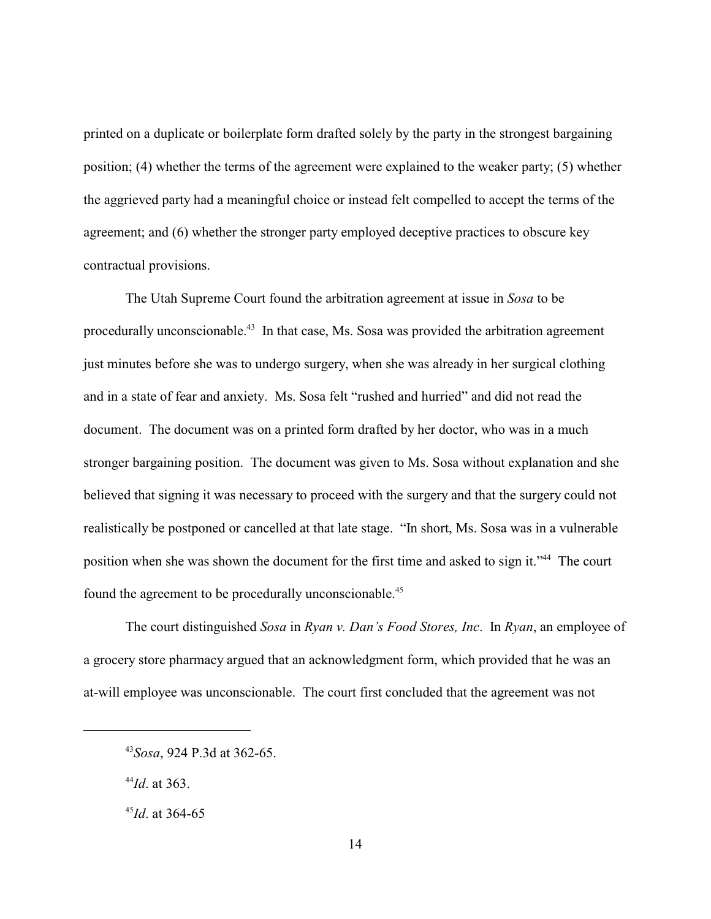printed on a duplicate or boilerplate form drafted solely by the party in the strongest bargaining position; (4) whether the terms of the agreement were explained to the weaker party; (5) whether the aggrieved party had a meaningful choice or instead felt compelled to accept the terms of the agreement; and (6) whether the stronger party employed deceptive practices to obscure key contractual provisions.

The Utah Supreme Court found the arbitration agreement at issue in *Sosa* to be procedurally unconscionable.<sup> $43$ </sup> In that case, Ms. Sosa was provided the arbitration agreement just minutes before she was to undergo surgery, when she was already in her surgical clothing and in a state of fear and anxiety. Ms. Sosa felt "rushed and hurried" and did not read the document. The document was on a printed form drafted by her doctor, who was in a much stronger bargaining position. The document was given to Ms. Sosa without explanation and she believed that signing it was necessary to proceed with the surgery and that the surgery could not realistically be postponed or cancelled at that late stage. "In short, Ms. Sosa was in a vulnerable position when she was shown the document for the first time and asked to sign it."<sup>44</sup> The court found the agreement to be procedurally unconscionable.<sup>45</sup>

The court distinguished *Sosa* in *Ryan v. Dan's Food Stores, Inc*. In *Ryan*, an employee of a grocery store pharmacy argued that an acknowledgment form, which provided that he was an at-will employee was unconscionable. The court first concluded that the agreement was not

*Sosa*, 924 P.3d at 362-65. <sup>43</sup>

 $^{44}$ *Id.* at 363.

 $^{45}$ *Id*. at 364-65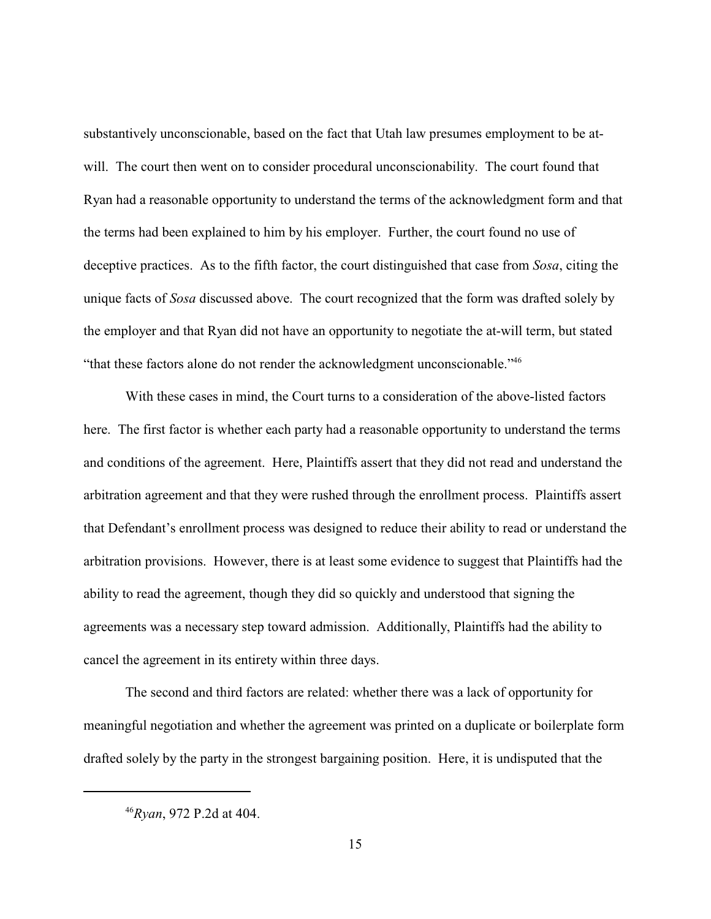substantively unconscionable, based on the fact that Utah law presumes employment to be atwill. The court then went on to consider procedural unconscionability. The court found that Ryan had a reasonable opportunity to understand the terms of the acknowledgment form and that the terms had been explained to him by his employer. Further, the court found no use of deceptive practices. As to the fifth factor, the court distinguished that case from *Sosa*, citing the unique facts of *Sosa* discussed above. The court recognized that the form was drafted solely by the employer and that Ryan did not have an opportunity to negotiate the at-will term, but stated "that these factors alone do not render the acknowledgment unconscionable."<sup>46</sup>

With these cases in mind, the Court turns to a consideration of the above-listed factors here. The first factor is whether each party had a reasonable opportunity to understand the terms and conditions of the agreement. Here, Plaintiffs assert that they did not read and understand the arbitration agreement and that they were rushed through the enrollment process. Plaintiffs assert that Defendant's enrollment process was designed to reduce their ability to read or understand the arbitration provisions. However, there is at least some evidence to suggest that Plaintiffs had the ability to read the agreement, though they did so quickly and understood that signing the agreements was a necessary step toward admission. Additionally, Plaintiffs had the ability to cancel the agreement in its entirety within three days.

The second and third factors are related: whether there was a lack of opportunity for meaningful negotiation and whether the agreement was printed on a duplicate or boilerplate form drafted solely by the party in the strongest bargaining position. Here, it is undisputed that the

<sup>&</sup>lt;sup>46</sup>Rvan, 972 P.2d at 404.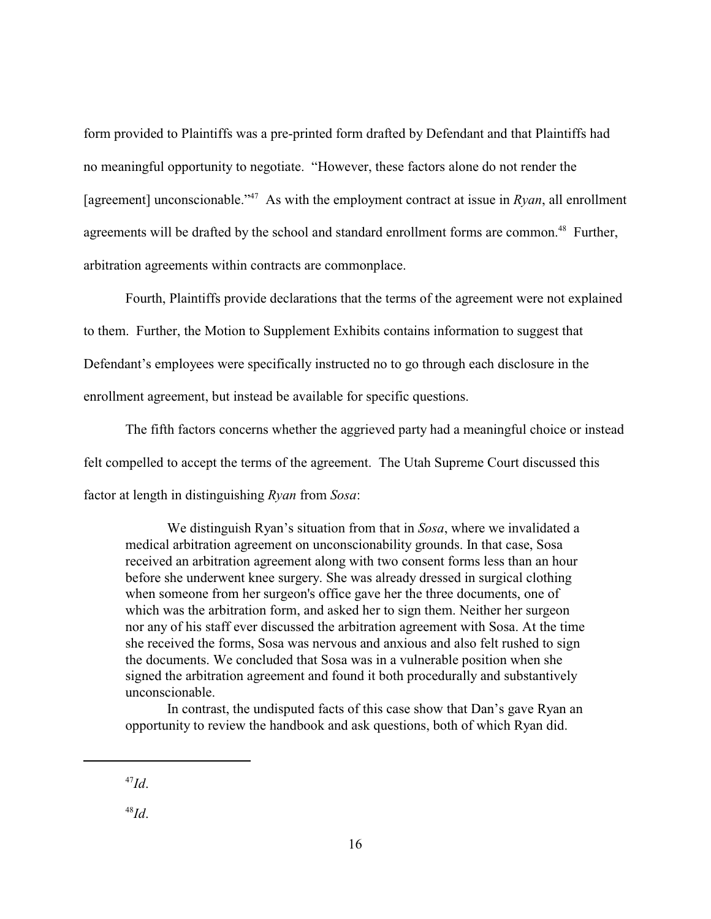form provided to Plaintiffs was a pre-printed form drafted by Defendant and that Plaintiffs had no meaningful opportunity to negotiate. "However, these factors alone do not render the [agreement] unconscionable.<sup> $347$ </sup> As with the employment contract at issue in *Ryan*, all enrollment agreements will be drafted by the school and standard enrollment forms are common.<sup>48</sup> Further, arbitration agreements within contracts are commonplace.

Fourth, Plaintiffs provide declarations that the terms of the agreement were not explained to them. Further, the Motion to Supplement Exhibits contains information to suggest that Defendant's employees were specifically instructed no to go through each disclosure in the enrollment agreement, but instead be available for specific questions.

The fifth factors concerns whether the aggrieved party had a meaningful choice or instead felt compelled to accept the terms of the agreement. The Utah Supreme Court discussed this factor at length in distinguishing *Ryan* from *Sosa*:

We distinguish Ryan's situation from that in *Sosa*, where we invalidated a medical arbitration agreement on unconscionability grounds. In that case, Sosa received an arbitration agreement along with two consent forms less than an hour before she underwent knee surgery. She was already dressed in surgical clothing when someone from her surgeon's office gave her the three documents, one of which was the arbitration form, and asked her to sign them. Neither her surgeon nor any of his staff ever discussed the arbitration agreement with Sosa. At the time she received the forms, Sosa was nervous and anxious and also felt rushed to sign the documents. We concluded that Sosa was in a vulnerable position when she signed the arbitration agreement and found it both procedurally and substantively unconscionable.

In contrast, the undisputed facts of this case show that Dan's gave Ryan an opportunity to review the handbook and ask questions, both of which Ryan did.

<sup>48</sup>*Id*.

 $^{47}Id.$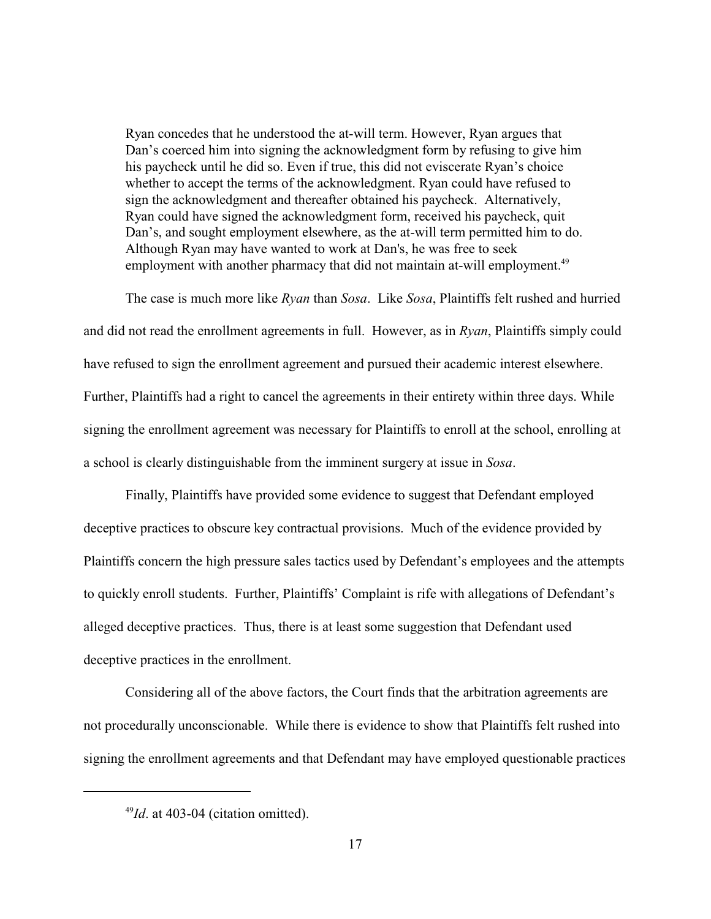Ryan concedes that he understood the at-will term. However, Ryan argues that Dan's coerced him into signing the acknowledgment form by refusing to give him his paycheck until he did so. Even if true, this did not eviscerate Ryan's choice whether to accept the terms of the acknowledgment. Ryan could have refused to sign the acknowledgment and thereafter obtained his paycheck. Alternatively, Ryan could have signed the acknowledgment form, received his paycheck, quit Dan's, and sought employment elsewhere, as the at-will term permitted him to do. Although Ryan may have wanted to work at Dan's, he was free to seek employment with another pharmacy that did not maintain at-will employment.<sup>49</sup>

The case is much more like *Ryan* than *Sosa*. Like *Sosa*, Plaintiffs felt rushed and hurried and did not read the enrollment agreements in full. However, as in *Ryan*, Plaintiffs simply could have refused to sign the enrollment agreement and pursued their academic interest elsewhere. Further, Plaintiffs had a right to cancel the agreements in their entirety within three days. While signing the enrollment agreement was necessary for Plaintiffs to enroll at the school, enrolling at a school is clearly distinguishable from the imminent surgery at issue in *Sosa*.

Finally, Plaintiffs have provided some evidence to suggest that Defendant employed deceptive practices to obscure key contractual provisions. Much of the evidence provided by Plaintiffs concern the high pressure sales tactics used by Defendant's employees and the attempts to quickly enroll students. Further, Plaintiffs' Complaint is rife with allegations of Defendant's alleged deceptive practices. Thus, there is at least some suggestion that Defendant used deceptive practices in the enrollment.

Considering all of the above factors, the Court finds that the arbitration agreements are not procedurally unconscionable. While there is evidence to show that Plaintiffs felt rushed into signing the enrollment agreements and that Defendant may have employed questionable practices

 $^{49}$ *Id.* at 403-04 (citation omitted).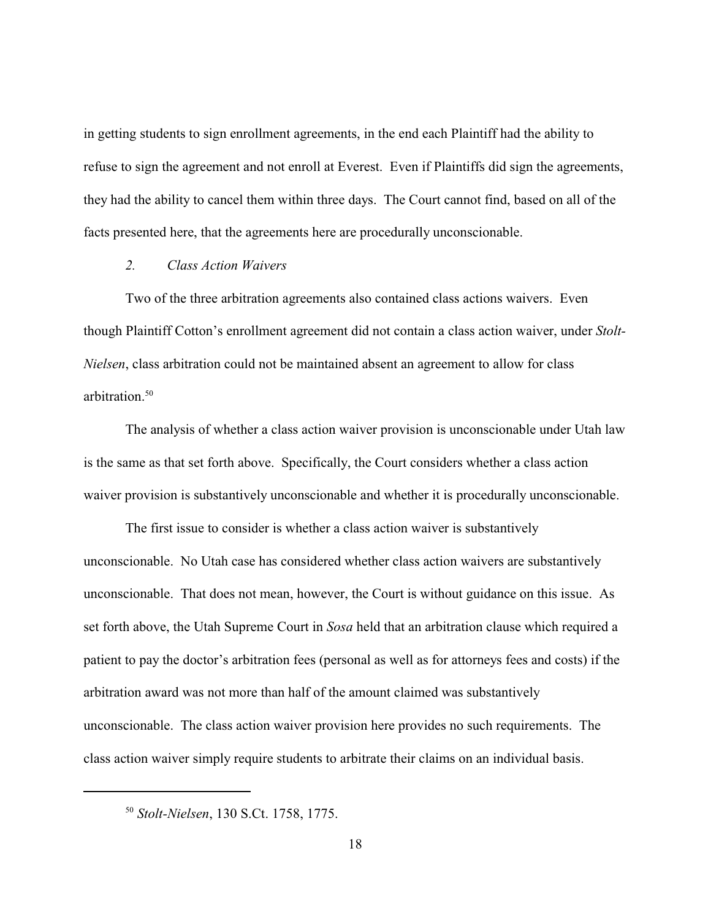in getting students to sign enrollment agreements, in the end each Plaintiff had the ability to refuse to sign the agreement and not enroll at Everest. Even if Plaintiffs did sign the agreements, they had the ability to cancel them within three days. The Court cannot find, based on all of the facts presented here, that the agreements here are procedurally unconscionable.

#### *2. Class Action Waivers*

Two of the three arbitration agreements also contained class actions waivers. Even though Plaintiff Cotton's enrollment agreement did not contain a class action waiver, under *Stolt-Nielsen*, class arbitration could not be maintained absent an agreement to allow for class arbitration.<sup>50</sup>

The analysis of whether a class action waiver provision is unconscionable under Utah law is the same as that set forth above. Specifically, the Court considers whether a class action waiver provision is substantively unconscionable and whether it is procedurally unconscionable.

The first issue to consider is whether a class action waiver is substantively unconscionable. No Utah case has considered whether class action waivers are substantively unconscionable. That does not mean, however, the Court is without guidance on this issue. As set forth above, the Utah Supreme Court in *Sosa* held that an arbitration clause which required a patient to pay the doctor's arbitration fees (personal as well as for attorneys fees and costs) if the arbitration award was not more than half of the amount claimed was substantively unconscionable. The class action waiver provision here provides no such requirements. The class action waiver simply require students to arbitrate their claims on an individual basis.

<sup>&</sup>lt;sup>50</sup> Stolt-Nielsen, 130 S.Ct. 1758, 1775.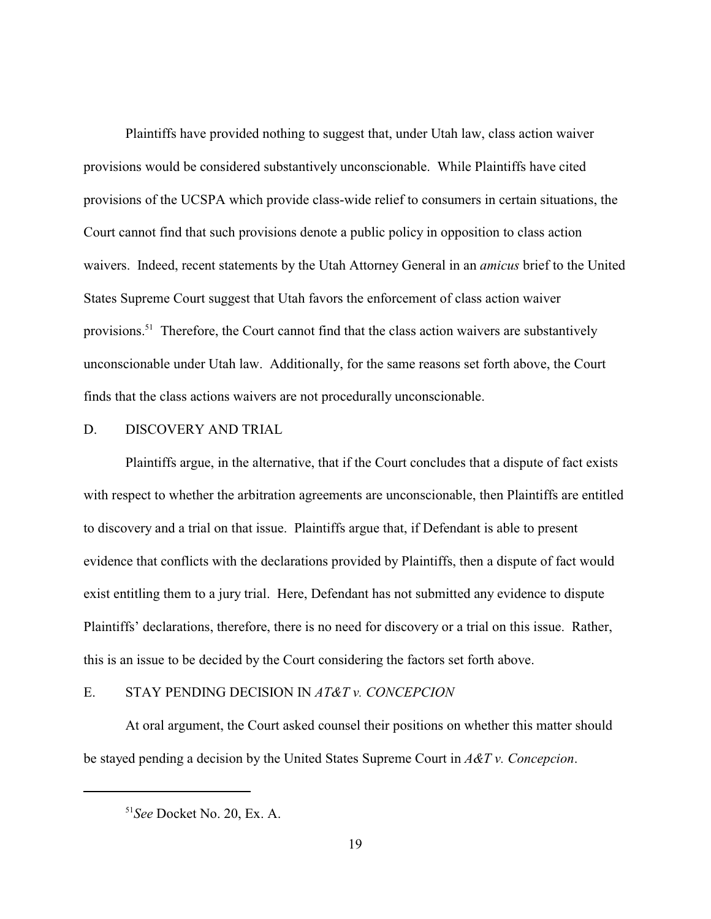Plaintiffs have provided nothing to suggest that, under Utah law, class action waiver provisions would be considered substantively unconscionable. While Plaintiffs have cited provisions of the UCSPA which provide class-wide relief to consumers in certain situations, the Court cannot find that such provisions denote a public policy in opposition to class action waivers. Indeed, recent statements by the Utah Attorney General in an *amicus* brief to the United States Supreme Court suggest that Utah favors the enforcement of class action waiver provisions.<sup>51</sup> Therefore, the Court cannot find that the class action waivers are substantively unconscionable under Utah law. Additionally, for the same reasons set forth above, the Court finds that the class actions waivers are not procedurally unconscionable.

### D. DISCOVERY AND TRIAL

Plaintiffs argue, in the alternative, that if the Court concludes that a dispute of fact exists with respect to whether the arbitration agreements are unconscionable, then Plaintiffs are entitled to discovery and a trial on that issue. Plaintiffs argue that, if Defendant is able to present evidence that conflicts with the declarations provided by Plaintiffs, then a dispute of fact would exist entitling them to a jury trial. Here, Defendant has not submitted any evidence to dispute Plaintiffs' declarations, therefore, there is no need for discovery or a trial on this issue. Rather, this is an issue to be decided by the Court considering the factors set forth above.

# E. STAY PENDING DECISION IN *AT&T v. CONCEPCION*

At oral argument, the Court asked counsel their positions on whether this matter should be stayed pending a decision by the United States Supreme Court in *A&T v. Concepcion*.

<sup>&</sup>lt;sup>51</sup> See Docket No. 20, Ex. A.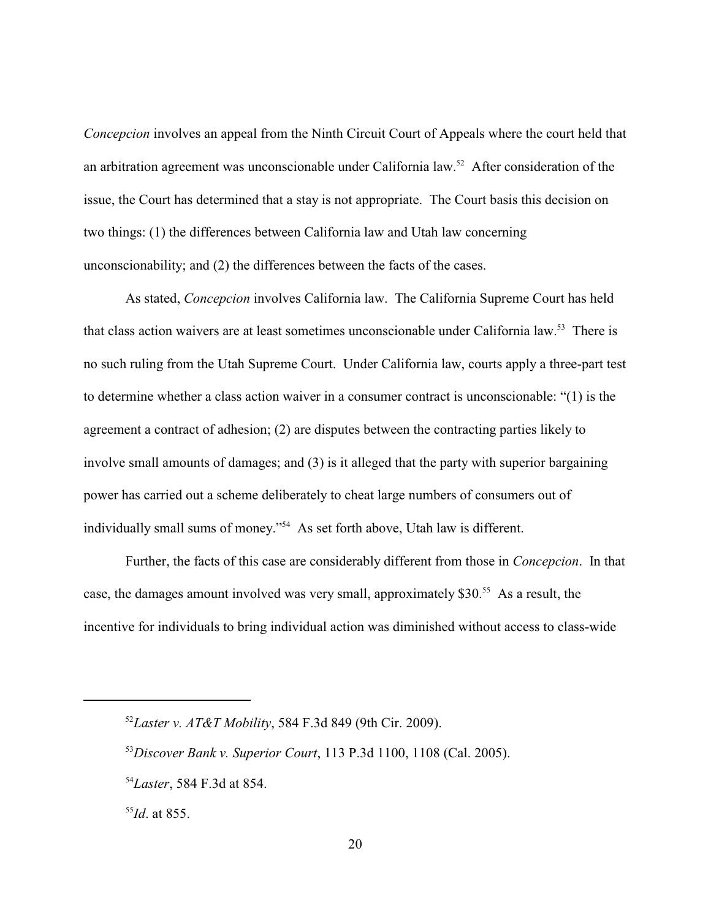*Concepcion* involves an appeal from the Ninth Circuit Court of Appeals where the court held that an arbitration agreement was unconscionable under California law.<sup>52</sup> After consideration of the issue, the Court has determined that a stay is not appropriate. The Court basis this decision on two things: (1) the differences between California law and Utah law concerning unconscionability; and (2) the differences between the facts of the cases.

As stated, *Concepcion* involves California law. The California Supreme Court has held that class action waivers are at least sometimes unconscionable under California law.<sup>53</sup> There is no such ruling from the Utah Supreme Court. Under California law, courts apply a three-part test to determine whether a class action waiver in a consumer contract is unconscionable: "(1) is the agreement a contract of adhesion; (2) are disputes between the contracting parties likely to involve small amounts of damages; and (3) is it alleged that the party with superior bargaining power has carried out a scheme deliberately to cheat large numbers of consumers out of individually small sums of money."<sup>54</sup> As set forth above, Utah law is different.

Further, the facts of this case are considerably different from those in *Concepcion*. In that case, the damages amount involved was very small, approximately  $$30<sup>55</sup>$  As a result, the incentive for individuals to bring individual action was diminished without access to class-wide

 $^{52}$ *Laster v. AT&T Mobility,* 584 F.3d 849 (9th Cir. 2009).

<sup>&</sup>lt;sup>53</sup>Discover Bank v. Superior Court, 113 P.3d 1100, 1108 (Cal. 2005).

<sup>&</sup>lt;sup>54</sup>Laster, 584 F.3d at 854.

 $^{55}$ *Id*. at 855.